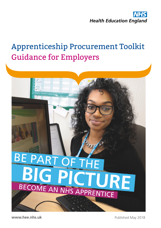

# Apprenticeship Procurement Toolkit Guidance for Employers



**www.hee.nhs.uk**

Published May 2018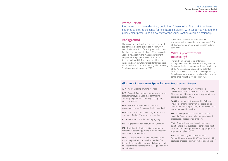# Procurement can seem daunting, but it doesn't have to be. This toolkit has been

designed to provide guidance for healthcare employers, with support to navigate the procurement process and an overview of the various options available nationally.

# Introduction

# Background

The system for the funding and procurement of apprenticeship training changed in May 2017 with the introduction of the Apprenticeship Levy. Employers with a pay bill of over £3 million each year are now required to make an investment in apprenticeships to the value of 0.5% of their annual pay bill. The government has also introduced new statutory targets for large public sector bodies to contribute to the goal of achieving 3 million apprenticeships by 2020.

| <b>ATP</b> – Apprenticeship Training Provider                                                                                                                                                                             |  |
|---------------------------------------------------------------------------------------------------------------------------------------------------------------------------------------------------------------------------|--|
| <b>DPS</b> - Dynamic Purchasing System - an electronic<br>procurement system used by a contracting<br>authority to purchase commonly used goods,<br>works or services                                                     |  |
| <b>EPA</b> – End Point Assessment - EPA is the<br>assessment process for apprenticeship standards                                                                                                                         |  |
| <b>EPAO</b> - End Point Assessment Organisation - a<br>company offering EPA for apprenticeships                                                                                                                           |  |
| <b>ESFA</b> – Education & Skills Funding Agency                                                                                                                                                                           |  |
| HEI - Higher Education Institution or University                                                                                                                                                                          |  |
| <b>ITT</b> – Invitation to Tender - initiating step of a<br>competitive tendering process in which suppliers<br>are invited to submit bids                                                                                |  |
| <b>OJEU</b> – Official Journal of the European Union –<br>this is the publication in which all tenders from<br>the public sector which are valued above a certain<br>financial threshold according to EU legislation must |  |

**SFI** - Standing Financial Instructions – these detail the financial responsibilities, policies and procedures adopted by an employer

**STP** - Sustainability and Transformation Partnerships – there are 44 STPs nationally looking at shared proposals to improve health and care

be published

Public sector bodies with more than 250 employees will now need to ensure at least 2.3% of their workforce are new apprenticeship starts each year.

# Why is procurement necessary?

Previously, employers could enter into arrangements with their chosen training providers for apprenticeship provision. With the introduction of the Apprenticeship Levy and the potential financial value of contracts for training provision, a formal procurement process is advisable to ensure compliance with NHS Procurement Rules.

**PQQ** – Pre-Qualifying Questionnaire - a questionnaire that suppliers or contractors must fill out when bidding for work or applying for an approved supplier list/DPS

**RoATP** – Register of Apprenticeship Training Providers - organisations that are approved to deliver apprenticeship training for employers using the Apprenticeship Service

**SSQ** - Standard Selection Questionnaire - a questionnaire that suppliers or contractors must fill out when bidding for work or applying for an approved supplier list/DPS

# Glossary - Procurement Speak for Non-Procurement People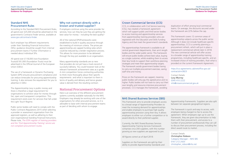#### Health Education England **Apprenticeship Procurement Toolkit Guidance for Employers**

### Standard NHS Procurement Rules

According to the Standard NHS Procurement Rules, all spend over £25,000 should be advertised on the government's Contracts Finder service, available at www.gov.uk/contracts-finder.

Each employer has different requirements under their Standing Financial Instructions (SFIs); guidance should be sought from internal procurement teams if further information is needed about individual SFIs.

All spend over £118,000 (non-Foundation Trusts)/£181,000 (Foundation Trusts) must be advertised in the Official Journal of the European Union (OJEU).

The use of a framework or Dynamic Purchasing System (DPS) ensures procurement compliance and can reduce timescales for procuring apprenticeship training. It also removes the requirement for you to advertise in OJEU.

The Apprenticeship Levy is public money and there is therefore a legal requirement for organisations to achieve value for money through fair, open and transparent competition. This requirement exists even for services that fall under the Light Touch Regime.

Public sector bodies will need to comply with the Public Contracts Regulations 2015 when selecting a provider or assessment organisation from the approved registers, as well as adhering to their own organisational Standing Financial Instructions. Please note, *The ESFA register of training providers and the 'Find Apprenticeship Training' service are not compliant procurement routes.*

### Why not contract directly with a known and trusted supplier?

If employers continue using the same provider for services, how can they be sure they are getting the best value for money – including the best quality?

All of the national DPS/Frameworks were established to build in quality assurance through the meeting of minimum criteria. The prices per apprenticeship are capped funding rates which could be reduced by a tender negotiation process. This allows for more provision to be delivered through the levy pot available to an organisation.

Many apprenticeship standards are so new that providers do not yet have a track-record of successful delivery. You could however look at the relevant framework achievement rates as a guide. A mini competition forces contracting authorities to think more thoroughly about their specific requirements and what is important to them in terms of quality and delivery and hence greater value is derived from the resulting contract.

# National Procurement Options

Here is an overview of the different procurement systems currently available nationally for the NHS. Employers may already be working with one of the organisations for other procured services, so it is advisable to liaise with internal procurement teams as part of deciding with whom to engage.

# Crown Commercial Service (CCS)

CCS, in collaboration with Civil Service Learning (CSL), has created a framework agreement which will support public and third sector bodies to access training and apprenticeship services from apprenticeship training providers who are registered with the Education and Skills Funding Agency and that meet the government's standards.

The apprenticeships framework is available to all central government departments, their arm's length bodies and the wider public sector. This framework will ensure public bodies achieve best value, buying as a single customer, whilst enabling them to access their levy funds to support their workforce planning strategies and meet their apprenticeship targets. The framework avoids government bodies having to carry out multiple procurement exercises, saving staff time and money.

Prices on the framework are capped, meaning public bodies will only pay the agreed price and no higher. Public bodies will not have to carry out their own lengthy and resource-intensive procurement processes. CCS manages the framework, avoiding

duplication of effort among local commercial teams. On average, the discounts secured under the framework are 22% below the cap.

This framework covers 12 common areas of apprenticeship subjects across the public sector. Although it does not include healthcare specific apprenticeships, CCS is currently planning a procurement refresh, which will put in place a replacement commercial vehicle later in 2018. The new commercial vehicle will offer access to a broader range of apprenticeship training programmes, including healthcare specific, and an increased choice of training providers, than what is provided on the current Framework Agreement.

#### https://ccs-agreements.cabinetoffice.gov.uk/ contracts/rm3823

Contact Details **Lucy Murray** 0345 410 2222 info@crowncommercial.gov.uk

# NHS Shared Business Services (SBS)

This Framework aims to provide employers access to a broad range of Apprenticeship Providers to meet the increasing demand for apprenticeships and enable employers to purchase high quality apprenticeship provision using their levy. It allows employers to either run a further competition or to award directly to their preferred supplier.

Currently, the NHS Shared Business Services Apprenticeship Training Services Framework comprises circa 200 suppliers, with this number growing as new suppliers are approved to join.

#### *All figures correct as of April 2018*.

Suppliers on the Framework are split by their ability to provide Apprenticeship Standards and

Apprenticeship Frameworks. Suppliers are also split between ten separate geographical regions.

The framework is quick and easy to access, with employers being charged no fee to access the agreement. When employers sign up to use the framework, they are given documentation to help them with their procurement, and access to a number of procurement professionals they can call to discuss their procurement process, including the direct award route to market.

Contact Details **Christopher Robson** Category Manager – NHS SBS 0161 212 2420 christopher\_robson@nhs.net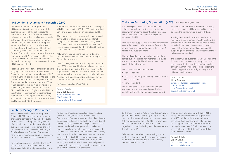LPP works on a national footprint with NHS organisations to make the most of the purchasing power of the public sector to maximise investment in frontline services. LPP helps deliver the highest quality services while at the same time ensuring value for money. LPP encourages collaboration among public sector organisations and currently works in collaboration with acute, mental health and community trusts, Clinical Commissioning Groups, Community Health Partnerships, and a number of non-NHS organisations. LPP is also part of the NHS Collaborative Procurement Partnership, working in collaboration with other NHS Procurement Hubs.

Recognising the need for all employers to have a legally compliant route to market, Health Education England, working on behalf of NHS Trusts in London, approached LPP to explore the options and recommend a compliant solution. The recommendation was to create a DPS to which apprenticeship training providers can apply at any time over the duration of the DPS. Health Education England advised LPP on the structure, the minimum requirements an apprenticeship training provider must meet, and the mini competition documents. This way, quality was built into the process.

Providers who are awarded to RoATP at a later stage are still able to apply to the DPS. The DPS went live in April 2017 and is managed on an on-going basis by LPP.

- Tier  $1 -$  Regions
- Tier 2 Routes (as prescribed by the Institute for Apprenticeships)
- Tier 3 Standards

206 approved apprenticeship providers are awarded to the DPS (not all suppliers are awarded for all categories/lots) with new applications every week. LPP can work with employers and their incumbent/ local suppliers to ensure that they are listed before any competition process is undertaken.

NHS Commercial Solutions and East of England Collaborative Procurement Hub are promoting the LPP DPS to their members.

In its first year, contracts awarded equated to more than 6000 apprenticeships being delivered nationally. This number is growing all the time. The initial 22 apprenticeship categories have increased to 31, and the framework scope expanded to include End Point Assessment Organisations. New categories can be added to the scope of the DPS as required.

*All figures correct as of April 2018*.

Contact Details **Laura Whitworth** Senior Category Manager 020 7188 8122 laura.whitworth@lpp.nhs.uk

# NHS London Procurement Partnership (LPP) **The Contract of Contract Purchasing Organisation (YPO)** launching 1st August 2018

YPO have spent the last 12 months creating a solution that will support the needs of the public sector when procuring apprenticeship standards. The framework will be national but split into regions of the UK.

They have held supplier and customer engagement events that have included attendees from a variety of providers, local authorities, police forces, fire & rescue, NHS Trusts and more.

The events and marketing intelligence they have carried out over the last few months has allowed them to create a flexible solution to meet the needs of the public sector.

The framework is created in 3 tiers:

The framework will list all standards that are approved on the Institute of Apprenticeships website by the date the framework is published.

Any new standards will be added on a quarterly basis and providers will have the ability to tender to be on the framework on a quarterly basis.

Training Providers will be able to tender across multiple lots and at various times throughout the duration of the framework. The solution is aimed to be flexible to meet the constantly changing needs of the current apprenticeship market by supporting new providers and providers wishing to deliver on new standards.

The tender will be published in April 2018 and the framework will be live from 1 August 2018. The aim is to constantly grow the standards available through the framework and to help support the developing provider market by allowing them to bid on a quarterly basis.

Contact details **Lizzy Grayson** Category Manager - Corporate Services 01924 834985 Lizzy.Grayson@ypo.co.uk apprenticeships@ypo.co.uk

# Salisbury Managed Procurement

Salisbury Managed Procurement is part of Salisbury NHSFT, and specialises in providing professional services to NHS and other public sector bodies. Salisbury has a long history of developing and providing innovative and customer responsive services across the NHS, supporting both the Peninsula Purchasing and Supply Alliance and Southern Procurement Partnership collaboratives, as well as partnering Crown Commercial Services and others.

From early engagement with STPs, Trusts, ESFA and Health Education England, the Salisbury Apprenticeship DPS is a fully managed service, at

no cost to client organisations at any point. Salisbury works as an integral part of their clients' Human Resources and Procurement teams to help them develop their apprenticeship plans, deal with the on-boarding of existing suppliers, and conduct the procurement phase using a supplier self-score system which makes for quicker evaluation. Typically, even a large requirement can be turned around within three weeks, and Salisbury then assist with bidder presentations, contract issue and subsequent feedback. New requests for competition typically are issued to the market with 48 hours, and Salisbury also work with both incumbent and potential new providers to ensure a good tender response and to develop new innovations in the market.

Both employers and STPs have recorded significant procurement activity savings by asking Salisbury to carry out their apprenticeship procurements, one STP having recorded over £35,000 in procurement time savings alone. In the words of a client organisation, "it's like having a whole procurement team to yourself".

Salisbury also specialise in new training outside of the levy, having supported the commissioning of bespoke degree modules in mental health, dementia and social care.

They are currently working with over 40 NHS Trusts and local authorities, have good links with HEE and the National Apprenticeship Service, and are an integral part of a number of STP apprenticeship and workforce groups, having delivered over £20m in contract value and enabled over 3000 students to start their apprenticeship journey.

Contact Details **Simon Dennis**  01722 336262 ext 5749, simon.dennis@nhs.net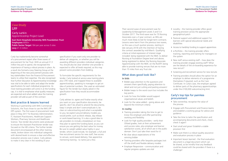specification if you want only one provider to deliver all categories, or whether you will be awarding different providers individual categories. You should also be clear whether one provider is expected to offer all levels required, as this may prevent some providers from bidding.

To formulate the specific requirements for the tender, Carly looked at service area training plans plus CPD need, and mapped these to available apprenticeships, speaking to managers to get an idea of potential numbers. She used an estimated figure for the tender but clearly asked in the specification how they would accommodate growth.

Carly advises to: agree and finalise exactly what you want on your specification documents; be specific; don't be afraid to amend the documents; keep it simple and don't overcomplicate it; be clear on subcontracting and what is acceptable to you; be explicit around delivery models you would prefer, such as block release, day release or work-based learning. It is also a good idea to ask providers to include a breakdown on how they plan to spend the funding band, so you can ensure you are getting the best value for money. Be sure to weight added value highly in your tender, which could include, for example: a full and free recruitment service for new staff; free access to venues; work-based delivery; free apprentice mentoring training - to name just a few.

Carly has inadvertently become somewhat of a procurement expert after three waves of procurement for her Trust. With an annual £1.3 million levy pot to spend, she recognised the importance of having a robust process in place. As a result she formed a Levy Steering Group at the beginning of the new procurement process with key stakeholders from the Finance & Procurement teams to utilise their expertise. She also recognised that Further Education & Apprenticeship knowledge was vital to be able to tailor and adapt the tender specifications for each individual programme. As most training providers will come in at the funding cap, it is vital to emphasise what quality measures are expected and what added value the training provider will add as part of the contract

## Best practice & lessons learned

Working in partnership with NHS Commercial Solutions, the Trust chose to use the NHS LPP DPS system. The first wave of procurement took place in May 2017 for Business Administration, IT, Assistant Practitioners, Healthcare Support Workers, Pharmacy Services and Healthcare Science. Two tender documents were produced to ensure the Assistant Practitioner tender was focused on the HEI criteria. The further tender document encompassed all the other training needs, broken down into individual categories with desired levels to ensure a clear and effective evaluation process was in place. Carly advises to make it very clear in the wording of your

- Locality the training provider offers good training provision across the appropriate geographical patch
- Pastoral support and additional support for learners with special educational needs and disabilities
- Access to hardship funding to support apprentices
- e-Portfolio the training provider offers tracking, reporting and training for managers on the system
- New staff versus existing staff how does the training provider engage existing staff? What are the details of the on-boarding experience for new recruit?
- Screening and recruitment service for new recruits
- Training providers should allow the option for an employer to deliver elements of a programme themselves if required, such as the Care Certificate. In Carly's case, the employer agreed to deliver parts of the pharmacy apprenticeships under the £100,000 subcontracting limit.

Their second wave of procurement was for Leadership & Management Levels 3 and 5 in October 2017. The third wave was for 70 Nursing Associates over a 3 year contract, as HEIs are much more likely to bid for longer-term contracts. Lessons were learnt from the previous two waves, so this was a much quicker process, starting in late January 2018 with the intention of having the contract awarded by mid-March. Qualifying criteria at initial expression of interest stage included: being registered with the NMC to deliver Nursing at Foundation Degree level and above; being registered to deliver the Nursing Associate Apprenticeship with the NMC on the RoATP; being able to provide training venues that are no more than 15 miles from any Trust site.

# What does good look like?

#### **In bids**

- Bidder pays attention to the questions and answers them specifically, paying attention to detail and not just cutting and pasting answers!
- Bidder keeps to the word count but includes the key points
- Look for how the bidder would support organisational values and beliefs
- Look for the value added going above and beyond the minimum criteria

#### **In reality**

- Training providers taking the time to get to know the employer and offer partnership working and flexibility
- Look for high quality providers verify their Ofsted grades, look at their achievement and success rates, plus employer and learner satisfaction scores, all of which are in the public domain. Don't just take their word for it!
- Be clear about expectations of the winning bidder
- Training providers offer bespoke packages (not off the shelf) and flexible delivery models
- Employer Responsive communication and regular progress updates are vital

### Carly's top tips for painless procurement

- Take ownership; recognise the value of the process
- Engage with Procurement and Finance teams and establish a working group for advice and guidance
- Take the time to tailor the specification and accompanying documents and check, check, check it again!
- Start small and grow! Establish a stable provision first
- Make sure there is a robust quality assurance and evaluation process in place
- Important lesson learned the final evaluation document is a legal document which can be shared, so be mindful that any feedback could be shared with the providers if there is a challenge!

# Case Study LPP

Carly Larkin Apprenticeship Project Lead

**East Kent Hospitals University NHS Foundation Trust Employees** 8000+ **Public Sector Target** 184 per year across 5 sites **Levy** £1.3 million

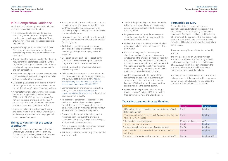# Mini Competition Guidance

Whichever procurement option is adopted, here are some key points to bear in mind:

- It is important to take the time to read and amend any tender templates. Simply issuing the documents unchanged will not suffice as they will not reflect the organisation's specific requirements.
- Apprenticeship Leads should work with their Procurement teams in order to run the mini competition process. They could be internal or outsourced.
- Thought needs to be given to planning the total requirement for apprentices across the whole organisation for a given period so that, as far as possible, all requirements are captured within the mini competition.
- Employers should plan in advance when the mini competition evaluation will take place and who will be evaluating the responses.
- Contracting Authorities must allow a minimum of ten days for tender responses. These can be run on the authority's own e-Tendering platform.
- A mandatory criterion for any mini competition will be that the providers are listed on the ESFA register (RoATP) as a main provider. Do not assume that a provider is on the RoATP just because they have submitted a bid! Some employers have been caught out by this.
- Employers will need to independently verify any claims made in a bid such as Ofsted grade, achievement and success rates, employer and learner satisfaction scores.

# Things to consider for the tender specification

• Be specific about the requirements. Consider whether you want to specify, for example, frameworks or standards, day release or workbased delivery, qualifications or EPA only.

- Recruitment what is expected from the chosen provider in terms of support for recruiting new staff? Is it expected that they support with shortlisting and pre-screening? What about DBS checks and references?
- New recruits and existing staff ask the provider to detail the on-boarding and induction process for both groups.
- Added value what else can the provider offer as part of the programme? For example, mentoring training for managers, access to e-learning.
- Skill set of training staff ask to speak to the trainers who will be delivering the education, not just the business development team!
- Ofsted what is their grade and when were they last inspected?
- Achievement/success rates compare these for each programme against the national average. The 2016/17 data is available here: https:// www.gov.uk/government/statistics/nationalachievement-rates-tables-2016-to-2017
- Learner satisfaction and employer satisfaction scores, available at https://www.gov.uk/ government/collections/fe-choices – these give a good indication of quality.
- All data is not comparable! Take into account the learner and employer numbers against the satisfaction score. For example, a learner satisfaction score of 100% may only be for four learners who completed the programme.
- Employer feedback and testimonials –ask for references from employers the provider is currently working with, and speak to colleagues in other healthcare organisations.
- Ask for a tailored bespoke programme, not just the standard off-the-shelf delivery
- Ask for an outline of the learner journey and the scheme of work.
- 20% off-the-job training ask how this will be evidenced and what plans the provider has to ensure this is not prohibitive to the success of the programme.
- Progress reviews and workplace assessments – ask the apprenticeship training provider to outline their process for this.
- End Point Assessment and resits ask whether retakes are included in the price quoted. If so, how many?
- Contract management there may be a significant number of contracts between the employer and the awarded training provider that will need managing. This should be outlined up front with clear expectations from all parties. Ask the training provider to specify their response times to any queries, and provide an outline of their complaints and escalation process.
- Ask the training provider to indicate KPIs for learner progress and achievements such as Functional Skills. It will not suffice to say Functional Skills will be front loaded; ask for a specific month in the learner journey.
- Remember the importance of re-checking a training provider's claims at ITT stage, such as their achievement rates and Ofsted grades.

# Partnership Delivery

Partnership delivery is a potential income generation source. Employers interested in this model should state this explicitly in the tender documents. Employers could get paid for delivery of elements of the apprenticeship that they already carry out, such as the Care Certificate. Training providers will be glad of the expertise, especially in clinical areas.

There are three options available for partnership working:

The first is to become an Employer Provider. The second is to become a Supporting Provider, enabling an employer to deliver up to the value of £500,000. Both of these options require the employer to be on RoATP and have a robust infrastructure to support the delivery.

The third option is to become a subcontractor and deliver elements of the apprenticeship programme up to the value of £100,000. For this option the employer is not required to be on RoATP.

# Typical Procurement Process Timeline

| <b>Action</b>                                                                                | By when         | By whom      |
|----------------------------------------------------------------------------------------------|-----------------|--------------|
| NHS employer to agree specification and Invitation to Tender<br>(ITT) documentation          | Day 1           | Employer     |
| ITT documentation to be issued to all Apprenticeship Training<br>Providers (ATPs) in the lot | Day 7           | Employer.    |
| ATPs to submit tender responses                                                              | Minimum 10 days | <b>ATPs</b>  |
| Employer evaluates responses                                                                 | Day 20          | Employer     |
| Employer seeks internal approval of contract award                                           | Day 30          | Employer     |
| ATPs notified of outcome and voluntary standstill period<br>undertaken                       | Day 30          | Employer     |
| Employer concludes standstill and enters contract with ATP                                   | Day 40          | Employer/ATP |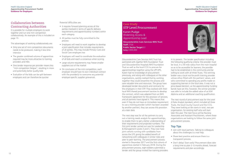

# Collaboration between Contracting Authorities

It is possible for multiple employers to work together and run one mini competition collaboratively. An example of this is included on page 13.

The advantages of working collaboratively are:

- Only one set of mini competition documents needs to be produced, making it less time intensive
- The greater combined volume of apprentices required may be more attractive to training providers and HEIs
- One tender response per provider means less "mini competition fatigue", resulting in more and potentially better quality bids
- Evaluation of the bids can be split between employers and can therefore be quicker

Potential difficulties are:

- It requires forward planning across all the parties involved in terms of specific delivery requirements and apprenticeship numbers within each category
- All parties must be fully committed to the process
- Employers will need to work together to develop a joint specification that includes requirements of all parties. This may include Primary Care and Social Care employers too
- Employers will need to coordinate the evaluation of all bids and reach a consensus when scoring
- Large volume requirements may freeze smaller suppliers out of the market
- On conclusion of the mini competition, each employer should have its own individual contract with the provider(s) to overcome any potential employer-specific supplier grievances.

Gloucestershire Care Services NHS Trust has partnered with 2gether NHS Foundation Trust and Gloucestershire Hospitals NHS Foundation Trust as well as the local CCG to procure for apprenticeships together using the LPP DPS. Karen had no knowledge of procurement previously, and along with colleagues at the other organisations, quickly realised that by working together they could streamline the process and save valuable time and resources. The group have developed tender documents and contracts for the employers in their STP. They worked with their local NHS shared procurement services to develop the contract, which was adapted from an NHS framework agreement for the provision of services, and all partners have signed it. This means that even if they do not have an immediate requirement to use a training provider (which has been awarded by another partner), they can access this provision at a later date.

The next step was for all the partners to carry out a training needs analysis for apprenticeships, to enable them to get a better understanding of their requirements and projected numbers. The first joint tender carried out was for Leadership & Management Levels 3 and 5. They now have joint cohorts running with candidates from across the STP, giving the added benefit of networking with colleagues in similar roles and peer to peer learning. The procurement process started in December 2017 and the first cohorts of apprentices started in February 2018. During the procurement process, eight bidders submitted a tender and the group invited five training providers

in to present. The tender specification including the following qualifying criteria: the provider must be local, in a 30 mile radius from the main hospital so as to be accessible for learners; the provider had to be established in the community and be willing to work with all three Trusts. The winning bidder was a local not-for-profit training provider whose ethos fitted with the partners' values, and who committed to spending any profits made on supporting learners in the local area. It was not a price-based decision, as the apprenticeship funding bands have set this; however, the winner provider was able to include the added value of an ILM diploma and an additional coaching qualification.

The next round of procurement was for the Level 4 Data Analyst standard, which included all three Trusts, the local County Council and the CCG. They were looking at ten starts in total, two per organisation, for existing staff who will start later this year. The next focus will be Nursing Associates and Assistant Practitioners, where these organisations are looking to follow the same joint procurement process.

## Top Tips

- Join with local partners. Talking to colleagues about the challenges is a real help.
- Share best practice and ensure there is a transparent process.
- Don't delay! Start early! Procurement does take a long time so plan 3- 6 months ahead, forecast requirements and plan accordingly.

# Case Study STP Level Procurement

Karen Pudge Widening Access & Apprenticeship Lead

**Gloucestershire Care Services NHS Trust Staff** 2700 **Public Sector Target** 61 **Levy** £300,000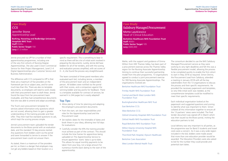

Jennie procured via LPP for a number of their apprenticeship programmes, including one of the very first cohorts of Nursing Degree Apprenticeships. She also used Crown Commercial Service for their Project Management, Level 2–4 Digital Apprenticeships plus Customer Service and Business Administration.

The difference with CCS compared to LPP is that there are a maximum of five providers on the framework per lot or subject area, and for some much less than this. There are also no template documents, so employers will need to work closely with their procurement team to draft these. Jennie found the input from her procurement team invaluable, and they had comprehensive documents that she was able to amend and adapt accordingly.

specific requirement. This is something to bear in mind as there will be a lot of initial work involved in preparing the documents. Luckily, Jennie did have bidders for all of her tenders, and with the scoring and evaluation process simplified, with set scores of  $0 - 4$ , she found the process very straightforward.

The Trust's own procurement template for services asked information-only questions which are not scored, allowing them to gain a greater understanding of the training provider and their offer. They then had five standard questions to ask, which kept the scoring process simple.

Jennie's procurement team uploaded the tender documents to the Bravo portal with an evaluation date, and the standard 10 day process started. Any questions from bidders went via the portal and were forwarded to Jennie to answer if the procurement team could not answer them.

- Allow plenty of time for planning and adapting the employer's procurement documents
- From the start, set clear responsibilities and roles for the Apprenticeship Lead and the Procurement Lead
- Set realistic dates for the timetable of dates and book these in your diary, allowing two full days for evaluations
- Carefully consider the KPIs the training provider must achieve as part of the contract. This should include the time frames for apprentices being uploaded on The Apprenticeship Service to ensure apprentice 'starts' data is up-to-date. This allows for equal monthly payments to be taken from your levy, not a large amount for numerous months back dating to the start of the apprenticeship.

As stated, there is a maximum of five providers per lot, so there is a danger that employers may not get any bidders based on their location or a

The team consisted of three panel members who evaluated each bid, including Jennie, a member of the procurement team and an independent person. All bidders were notified via the portal with their scores, and a comparison against the winning bidder and key points for feedback. There is a template available for contract of services; be warned it is 244 pages but is easily adapted!

# Top Tips:

# Case Study **CCS**

| Mette, with the support and guidance of Emma<br>Wilton from HEE Thames Valley, has been part of<br>a procurement exercise across the Thames Valley<br>region for the Nursing Associate Apprenticeship.<br>Aiming to continue their successful partnership<br>model from the pilot programme, 13 organisations<br>agreed to conduct a joint procurement exercise<br>for 300 Nursing Associate Apprenticeships. The<br>organisations involved are: |
|--------------------------------------------------------------------------------------------------------------------------------------------------------------------------------------------------------------------------------------------------------------------------------------------------------------------------------------------------------------------------------------------------------------------------------------------------|
| Berkshire Healthcare NHS Foundation Trust                                                                                                                                                                                                                                                                                                                                                                                                        |
| <b>Frimley Health NHS Foundation Trust</b>                                                                                                                                                                                                                                                                                                                                                                                                       |
| <b>Central and North West London NHS</b><br><b>Foundation Trust</b>                                                                                                                                                                                                                                                                                                                                                                              |
| <b>Buckinghamshire Healthcare NHS Trust</b>                                                                                                                                                                                                                                                                                                                                                                                                      |
| <b>East Berkshire CCG</b>                                                                                                                                                                                                                                                                                                                                                                                                                        |
| <b>West Berkshire CCG</b>                                                                                                                                                                                                                                                                                                                                                                                                                        |
| <b>Oxford University Hospitals NHS Foundation Trust</b>                                                                                                                                                                                                                                                                                                                                                                                          |
| <b>Oxford Health NHS Foundation Trust</b>                                                                                                                                                                                                                                                                                                                                                                                                        |
| Royal Berkshire NHS foundation Trust                                                                                                                                                                                                                                                                                                                                                                                                             |
| Milton Keynes University Hospital NHS<br><b>Foundation Trust</b>                                                                                                                                                                                                                                                                                                                                                                                 |
| Thornford Park Hospital, Elysium Healthcare                                                                                                                                                                                                                                                                                                                                                                                                      |
| <b>Berkshire Care Association</b>                                                                                                                                                                                                                                                                                                                                                                                                                |
| <b>West London Mental Health Trust</b>                                                                                                                                                                                                                                                                                                                                                                                                           |

The consortium decided to use the NHS Salisbury Managed Procurement service as they were working to very tight deadlines and felt this was a flexible procurement model, allowing the process to be completed quickly to enable the first cohort to start in May 2018 as required. Simon Dennis, the Procurement Lead from Salisbury, attended a meeting in January 2018 with all the key stakeholders from the 13 organisations to discuss the process and their specific requirements. He provided the necessary paperwork and templates, so very little initial work was needed, as the comprehensive templates could be modified to meet their specific requirements.

Each individual organisation looked at the paperwork and suggested questions and scoring to identify what was important to them. Simon collated all this information together to ensure all the 13 partners' views were included. The final tender document was signed off in March which was then issued via the Bravo portal, inviting the education partners to bid.

Local delivery was very important to all parties, as the programme was for Band 3 students and travel costs were a concern. As it was a very wide region included in the bid, bidders were made aware that more than one education provider would be awarded. The Education Providers were also asked to bid for the number they could provide and potential start dates.

Jennifer Stone Apprenticeship Lead

**Barking, Havering and Redbridge University Hospitals NHS Trust Staff** 6500+ **Public Sector Target** 150 **Levy** £1.3 million



# Case Study Salisbury Managed Procurement

Mette Laszkiewicz Head of Clinical Education

**Berkshire Healthcare NHS Foundation Trust Staff** 4000+ **Public Sector Target** 105 **Levy** £600,000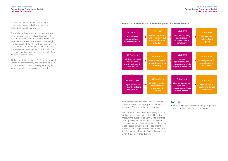Health Education England **Apprenticeship Procurement Toolkit Guidance for Employers**

Health Education England **Apprenticeship Procurement Toolkit Guidance for Employers**

There were 7 bids in total to review. Each organisation scored individually, then Simon collated the overall final scores.

The tender outlined that the programme would be for a mix of new recruits and existing staff, and set the expectation that the HEI would play a large role in the recruitment process. A qualifying question was that the HEI must have experience of delivering the NA programme as part of the pilot. The requirement was 300 starts for 2018 in total and exact numbers were specified for each of the 13 partner organisations.

At the end of the evaluation 3 HEIs were awarded: Oxford Brookes University, The University of West London and Bucks New University, ensuring the large geographical area could be covered.

> • Virtual meetings = huge time savings, especially when working with such a large group

**Below is a timeline for the procurement process from start to finish:**

Recruitment started in April 2018 for the first cohort of 100 to start in May 2018, with the remaining 200 due to start in the autumn.

The partnership will follow the Nursing Associate evaluation process as part of the HEE pilot to measure the quality of delivery. Mette feels that as this process and collaboration has been so successful and beneficial for all parties, there may well be scope to work together again for the Nursing Degree Apprenticeship and others such as the Occupational Therapist Degree Apprenticeship when it is approved for delivery.

#### Top Tip

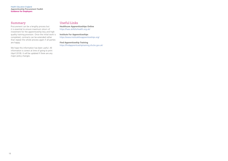# Useful Links

**Healthcare Apprenticeships Online** https://haso.skillsforhealth.org.uk/

**Institute For Apprenticeships** https://www.instituteforapprenticeships.org/

**Find Apprenticeship Training** https://findapprenticeshiptraining.sfa.bis.gov.uk/

# Summary

Procurement can be a lengthy process but it is essential to ensure maximum return of investment for the apprenticeship levy and high quality training provision. Once the initial work is completed, contracts can be extended rather than repeat the whole process again if all parties are happy.

We hope this information has been useful. All information is correct at time of going to print (April 2018). It will be updated if there are any major policy changes.